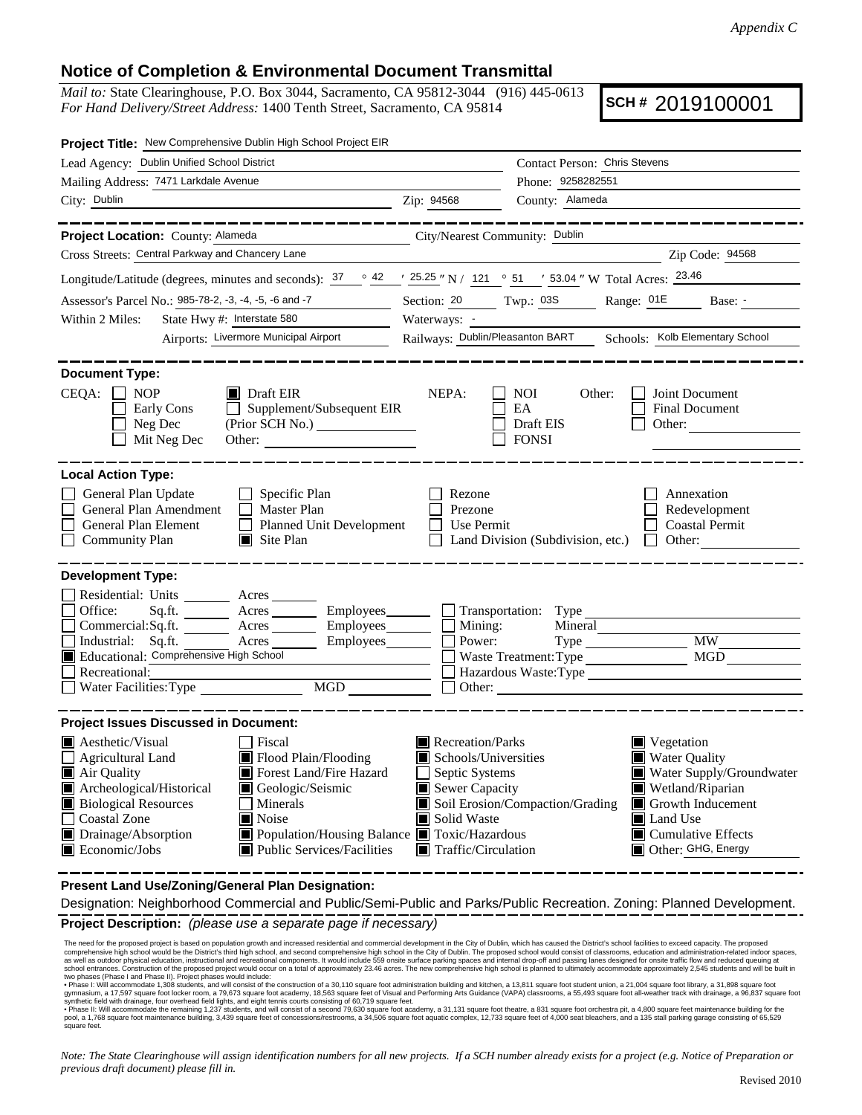## **Notice of Completion & Environmental Document Transmittal**

*Mail to:* State Clearinghouse, P.O. Box 3044, Sacramento, CA 95812-3044 (916) 445-0613 *For Hand Delivery/Street Address:* 1400 Tenth Street, Sacramento, CA 95814

**SCH #** 2019100001

| Project Title: New Comprehensive Dublin High School Project EIR                                                                                                                                                                                                                                                                                                                                                                                                                              |                                                                                                                                                                                     |                                                                                                                                                                                               |  |
|----------------------------------------------------------------------------------------------------------------------------------------------------------------------------------------------------------------------------------------------------------------------------------------------------------------------------------------------------------------------------------------------------------------------------------------------------------------------------------------------|-------------------------------------------------------------------------------------------------------------------------------------------------------------------------------------|-----------------------------------------------------------------------------------------------------------------------------------------------------------------------------------------------|--|
| Lead Agency: Dublin Unified School District                                                                                                                                                                                                                                                                                                                                                                                                                                                  |                                                                                                                                                                                     | Contact Person: Chris Stevens                                                                                                                                                                 |  |
| Mailing Address: 7471 Larkdale Avenue                                                                                                                                                                                                                                                                                                                                                                                                                                                        |                                                                                                                                                                                     | Phone: 9258282551                                                                                                                                                                             |  |
| City: Dublin<br><u> 1980 - Johann Barn, fransk politik (d. 1980)</u>                                                                                                                                                                                                                                                                                                                                                                                                                         | Zip: 94568                                                                                                                                                                          | County: Alameda                                                                                                                                                                               |  |
| . <u>.</u><br>Project Location: County: Alameda<br><u> 1989 - Johann Barbara, martxa alemani</u> a                                                                                                                                                                                                                                                                                                                                                                                           | City/Nearest Community: Dublin                                                                                                                                                      | . _ _ _ _ _ _ _ _ _ _ _ _ _ _ _ _                                                                                                                                                             |  |
| Cross Streets: Central Parkway and Chancery Lane                                                                                                                                                                                                                                                                                                                                                                                                                                             |                                                                                                                                                                                     | Zip Code: 94568                                                                                                                                                                               |  |
| Longitude/Latitude (degrees, minutes and seconds): $\frac{37}{2}$ $\frac{42}{2}$ $\frac{25.25}{2}$ N / 121 $\degree$ 51 $\degree$ 53.04 " W Total Acres: $\frac{23.46}{2}$                                                                                                                                                                                                                                                                                                                   |                                                                                                                                                                                     |                                                                                                                                                                                               |  |
| Assessor's Parcel No.: 985-78-2, -3, -4, -5, -6 and -7                                                                                                                                                                                                                                                                                                                                                                                                                                       |                                                                                                                                                                                     | Section: 20 Twp.: 03S Range: 01E Base: -                                                                                                                                                      |  |
| State Hwy #: Interstate 580<br>Within 2 Miles:                                                                                                                                                                                                                                                                                                                                                                                                                                               | Waterways: -                                                                                                                                                                        |                                                                                                                                                                                               |  |
| Airports: Livermore Municipal Airport                                                                                                                                                                                                                                                                                                                                                                                                                                                        |                                                                                                                                                                                     | Railways: Dublin/Pleasanton BART Schools: Kolb Elementary School                                                                                                                              |  |
| <b>Document Type:</b><br>CEQA:<br>$\blacksquare$ Draft EIR<br><b>NOP</b><br>Supplement/Subsequent EIR<br>Early Cons<br>(Prior SCH No.) ________________<br>Neg Dec<br>Mit Neg Dec                                                                                                                                                                                                                                                                                                            | NEPA:<br><b>NOI</b><br>EA<br>Draft EIS<br><b>FONSI</b>                                                                                                                              | Other:<br>Joint Document<br><b>Final Document</b><br>Other:                                                                                                                                   |  |
| <b>Local Action Type:</b><br>General Plan Update<br>$\Box$ Specific Plan<br>General Plan Amendment<br>$\Box$ Master Plan<br>General Plan Element<br>Planned Unit Development<br><b>Community Plan</b><br>Site Plan                                                                                                                                                                                                                                                                           | Rezone<br>Prezone<br>Use Permit<br>Land Division (Subdivision, etc.)                                                                                                                | Annexation<br>Redevelopment<br><b>Coastal Permit</b><br>Other:<br>$\Box$                                                                                                                      |  |
| <b>Development Type:</b><br>Residential: Units ________ Acres _______<br>Office:<br>Acres __________ Employees________<br>Sq.fit.<br>Commercial:Sq.ft. ________ Acres _________ Employees_______<br>Industrial: Sq.ft.<br>Acres<br>Employees_______<br>Educational: Comprehensive High School<br><u> 1989 - Jan Stein Stein Stein Stein Stein Stein Stein Stein Stein Stein Stein Stein Stein Stein Stein Stein S</u><br>Recreational:<br>$\underline{\text{MGD}}$<br>Water Facilities: Type | $\Box$ Transportation: Type<br>$\frac{1}{\sqrt{2}}$ Mining:                                                                                                                         | Mineral<br><b>MW</b><br><b>MGD</b><br>Waste Treatment: Type<br>Other:                                                                                                                         |  |
| <b>Project Issues Discussed in Document:</b><br>$\blacksquare$ Aesthetic/Visual<br>Fiscal<br>Flood Plain/Flooding<br>Agricultural Land<br>Air Quality<br>Forest Land/Fire Hazard<br>Archeological/Historical<br>Geologic/Seismic<br><b>Biological Resources</b><br>Minerals<br>Coastal Zone<br>Noise<br>Drainage/Absorption<br>■ Population/Housing Balance ■ Toxic/Hazardous<br><b>Public Services/Facilities</b><br>$\blacksquare$ Economic/Jobs                                           | $\blacksquare$ Recreation/Parks<br>Schools/Universities<br>Septic Systems<br>Sewer Capacity<br>Soil Erosion/Compaction/Grading<br>Solid Waste<br>$\blacksquare$ Traffic/Circulation | Vegetation<br><b>Water Quality</b><br>Water Supply/Groundwater<br>Wetland/Riparian<br>$\blacksquare$ Growth Inducement<br>Land Use<br>$\blacksquare$ Cumulative Effects<br>Other: GHG, Energy |  |

**Present Land Use/Zoning/General Plan Designation:**

**Project Description:** *(please use a separate page if necessary)* Designation: Neighborhood Commercial and Public/Semi-Public and Parks/Public Recreation. Zoning: Planned Development.

The need for the proposed project is based on population growth and increased residential and commercial development in the City of Dublin, which has caused the District's school facilities to exceed capacity. The proposed school entrances. Construction of the proposed project would occur on a total of approximately 23.46 acres. The new comprehensive high school is planned to ultimately accommodate approximately 2,545 students and will be b

synthetic field with drainage, four overhead field lights, and eight tennis courts consisting of 60,719 square feet.<br>• Phase II: Will accommodate the remaining 1,237 students, and will consist of a second 79,630 square for square feet.

*Note: The State Clearinghouse will assign identification numbers for all new projects. If a SCH number already exists for a project (e.g. Notice of Preparation or previous draft document) please fill in.*